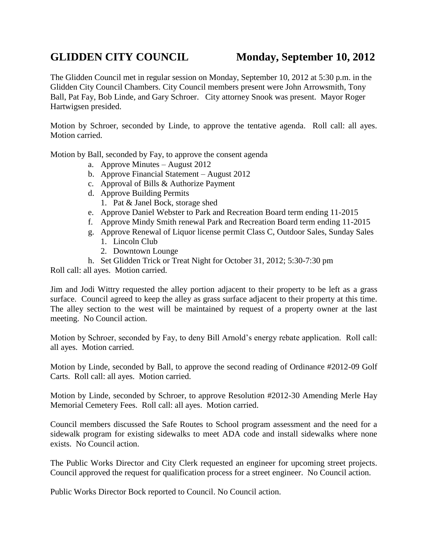## GLIDDEN CITY COUNCIL Monday, September 10, 2012

The Glidden Council met in regular session on Monday, September 10, 2012 at 5:30 p.m. in the Glidden City Council Chambers. City Council members present were John Arrowsmith, Tony Ball, Pat Fay, Bob Linde, and Gary Schroer. City attorney Snook was present. Mayor Roger Hartwigsen presided.

Motion by Schroer, seconded by Linde, to approve the tentative agenda. Roll call: all ayes. Motion carried.

Motion by Ball, seconded by Fay, to approve the consent agenda

- a. Approve Minutes August 2012
- b. Approve Financial Statement August 2012
- c. Approval of Bills & Authorize Payment
- d. Approve Building Permits
	- 1. Pat & Janel Bock, storage shed
- e. Approve Daniel Webster to Park and Recreation Board term ending 11-2015
- f. Approve Mindy Smith renewal Park and Recreation Board term ending 11-2015
- g. Approve Renewal of Liquor license permit Class C, Outdoor Sales, Sunday Sales 1. Lincoln Club
	- 2. Downtown Lounge
- h. Set Glidden Trick or Treat Night for October 31, 2012; 5:30-7:30 pm

Roll call: all ayes. Motion carried.

Jim and Jodi Wittry requested the alley portion adjacent to their property to be left as a grass surface. Council agreed to keep the alley as grass surface adjacent to their property at this time. The alley section to the west will be maintained by request of a property owner at the last meeting. No Council action.

Motion by Schroer, seconded by Fay, to deny Bill Arnold's energy rebate application. Roll call: all ayes. Motion carried.

Motion by Linde, seconded by Ball, to approve the second reading of Ordinance #2012-09 Golf Carts. Roll call: all ayes. Motion carried.

Motion by Linde, seconded by Schroer, to approve Resolution #2012-30 Amending Merle Hay Memorial Cemetery Fees. Roll call: all ayes. Motion carried.

Council members discussed the Safe Routes to School program assessment and the need for a sidewalk program for existing sidewalks to meet ADA code and install sidewalks where none exists. No Council action.

The Public Works Director and City Clerk requested an engineer for upcoming street projects. Council approved the request for qualification process for a street engineer. No Council action.

Public Works Director Bock reported to Council. No Council action.